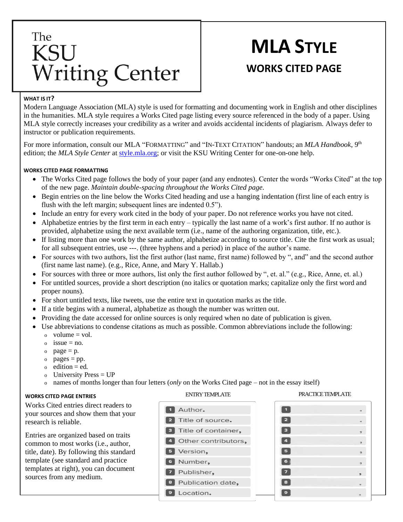## The **KSU Writing Center**

# **MLA STYLE WORKS CITED PAGE**

### **WHAT IS IT?**

Modern Language Association (MLA) style is used for formatting and documenting work in English and other disciplines in the humanities. MLA style requires a Works Cited page listing every source referenced in the body of a paper. Using MLA style correctly increases your credibility as a writer and avoids accidental incidents of plagiarism. Always defer to instructor or publication requirements.

For more information, consult our MLA "FORMATTING" and "IN-TEXT CITATION" handouts; an *MLA Handbook*, 9<sup>th</sup> edition; the *MLA Style Center* at [style.mla.org;](https://style.mla.org/) or visit the KSU Writing Center for one-on-one help.

#### **WORKS CITED PAGE FORMATTING**

- The Works Cited page follows the body of your paper (and any endnotes). Center the words "Works Cited" at the to p of the new page. *Maintain double-spacing throughout the Works Cited page.*
- Begin entries on the line below the Works Cited heading and use a hanging indentation (first line of each entry is flush with the left margin; subsequent lines are indented 0.5").
- Include an entry for every work cited in the body of your paper. Do not reference works you have not cited.
- Alphabetize entries by the first term in each entry typically the last name of a work's first author. If no author is provided, alphabetize using the next available term (i.e., name of the authoring organization, title, etc.).
- If listing more than one work by the same author, alphabetize according to source title. Cite the first work as usual; for all subsequent entries, use ---. (three hyphens and a period) in place of the author's name.
- For sources with two authors, list the first author (last name, first name) followed by ", and" and the second author (first name last name). (e.g., Rice, Anne, and Mary Y. Hallab.)
- For sources with three or more authors, list only the first author followed by ", et. al." (e.g., Rice, Anne, et. al.)
- For untitled sources, provide a short description (no italics or quotation marks; capitalize only the first word and proper nouns).
- For short untitled texts, like tweets, use the entire text in quotation marks as the title.
- If a title begins with a numeral, alphabetize as though the number was written out.
- Providing the date accessed for online sources is only required when no date of publication is given.
- Use abbreviations to condense citations as much as possible. Common abbreviations include the following:
	- $\alpha$  volume = vol.
	- $\circ$  issue = no.
	- $o$  page = p.
	- $o$  pages = pp.
	- $\circ$  edition = ed.
	- University Press  $= UP$
	- o names of months longer than four letters (*only* on the Works Cited page not in the essay itself)

#### **WORKS CITED PAGE ENTRIES**

Works Cited entries direct readers to your sources and show them that your research is reliable.

Entries are organized based on traits common to most works (i.e., author, title, date). By following this standard template (see standard and practice templates at right), you can document sources from any medium.



#### ENTRY TEMPLATE PRACTICE TEMPLATE

| Þ  |  |
|----|--|
| £, |  |
| л. |  |
| 5  |  |
| 6  |  |
|    |  |
| 8  |  |
| ×  |  |
|    |  |